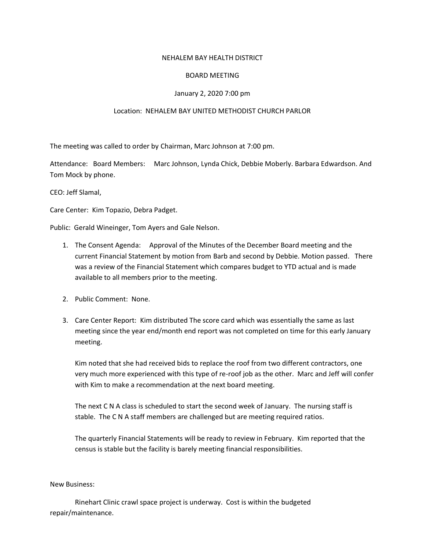## NEHALEM BAY HEALTH DISTRICT

# BOARD MEETING

# January 2, 2020 7:00 pm

# Location: NEHALEM BAY UNITED METHODIST CHURCH PARLOR

The meeting was called to order by Chairman, Marc Johnson at 7:00 pm.

Attendance: Board Members: Marc Johnson, Lynda Chick, Debbie Moberly. Barbara Edwardson. And Tom Mock by phone.

CEO: Jeff Slamal,

Care Center: Kim Topazio, Debra Padget.

Public: Gerald Wineinger, Tom Ayers and Gale Nelson.

- 1. The Consent Agenda: Approval of the Minutes of the December Board meeting and the current Financial Statement by motion from Barb and second by Debbie. Motion passed. There was a review of the Financial Statement which compares budget to YTD actual and is made available to all members prior to the meeting.
- 2. Public Comment: None.
- 3. Care Center Report: Kim distributed The score card which was essentially the same as last meeting since the year end/month end report was not completed on time for this early January meeting.

Kim noted that she had received bids to replace the roof from two different contractors, one very much more experienced with this type of re-roof job as the other. Marc and Jeff will confer with Kim to make a recommendation at the next board meeting.

The next C N A class is scheduled to start the second week of January. The nursing staff is stable. The C N A staff members are challenged but are meeting required ratios.

The quarterly Financial Statements will be ready to review in February. Kim reported that the census is stable but the facility is barely meeting financial responsibilities.

#### New Business:

Rinehart Clinic crawl space project is underway. Cost is within the budgeted repair/maintenance.